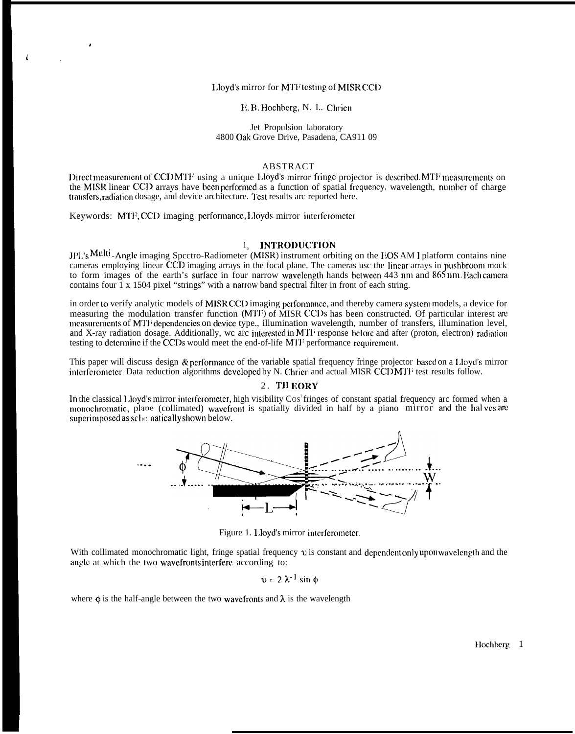### Lloyd's mirror for MTF testing of MISR CCD

#### H. B. Hochberg, N. I.. Chrien

#### Jet Propulsion laboratory 4800 Oak Grove Drive, Pasadena, CA911 09

#### ABSTRACT

I)ircct mcasurement of CCD MTF using a unique 1.loyd's mirror fringe projector is described. MTF measurements on the MISR linear CCI) arrays have been performed as a function of spatial frequency, wavelength, number of charge transfers, radiation dosage, and device architecture. Test results arc reported here.

Keywords: MTF, CCD imaging performance, Lloyds mirror interferometer

,

 $\frac{1}{4}$ 

### 1<sub>0</sub> INTRODUCTION

JPL's Multi-Angle imaging Spcctro-Radiometer (MISR) instrument orbiting on the EOS AM 1 platform contains nine cameras employing linear CCD imaging arrays in the focal plane. The cameras usc the Iincar arrays in pushbroom mock to form images of the earth's surface in four narrow wavelength hands between 443 nm and 865 nm. I ach camera contains four 1 x 1504 pixel "strings" with a narrow band spectral filter in front of each string.

in order to verify analytic models of MiSR CCIJ imaging perforrnancc, and thereby camera systcm models, a device for measuring the modulation transfer function (MTF) of MISR CCDs has been constructed. Of particular interest are measurements of MTF dependencies on device type., illumination wavelength, number of transfers, illumination level, and X-ray radiation dosage. Additionally, we arc interested in MTF response before and after (proton, electron) radiation testing to determine if the CCDs would meet the end-of-life MTF performance requirement.

This paper will discuss design  $&$  performance of the variable spatial frequency fringe projector based on a Lloyd's mirror interferometer. Data reduction algorithms developed by N. Chrien and actual MISR CCI) MTF test results follow.

## 2. THEORY

In the classical Lloyd's mirror interferometer, high visibility  $\cos^2$  fringes of constant spatial frequency arc formed when a monochromatic, plane (collimated) wavefront is spatially divided in half by a piano mirror and the hal ves are superimposed as  $\overline{\text{sch}}$  natically shown below.



Figure 1. Lloyd's mirror interferometer.

With collimated monochromatic light, fringe spatial frequency  $\upsilon$  is constant and dependent only upon wavelength and the angle at which the two wavefronts interfere according to:

$$
v = 2 \lambda^{-1} \sin \phi
$$

where  $\phi$  is the half-angle between the two wavefronts and  $\lambda$  is the wavelength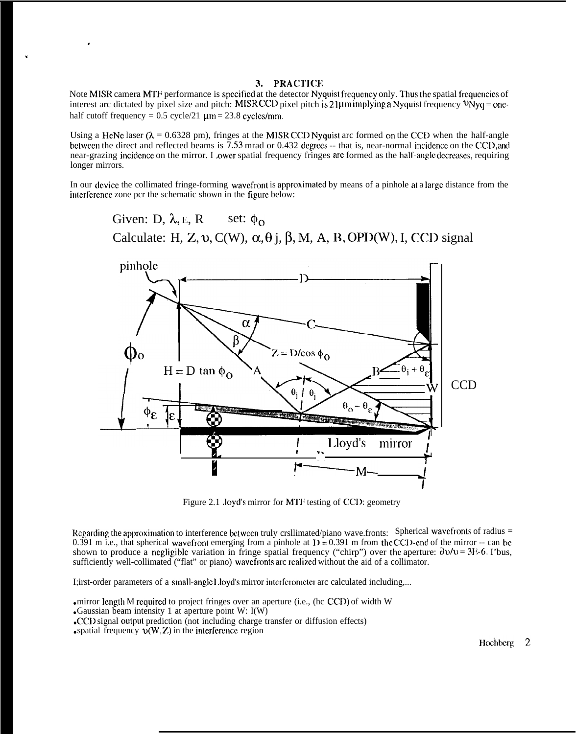# 3. PRACTICE

Note MISR camera MTF performance is specified at the detector Nyquist frequency only. Thus the spatial frequencies of interest arc dictated by pixel size and pitch: MISR CCD pixel pitch is 21 $\mu$ m *implying* a *Nyquist* frequency  $v_{Nyq} =$  onehalf cutoff frequency =  $0.5$  cycle/21  $\mu$ m = 23.8 cycles/mm.

Using a HeNc laser ( $\lambda = 0.6328$  pm), fringes at the MISR CCD Nyquist arc formed on the CCD when the half-angle bctwccn the direct and reflected beams is 7.53 mrad or 0.432 degrees -- that is, near-normal incidence on the CCD, and near-grazing incidence on the mirror. I ower spatial frequency fringes are formed as the half-angle decreases, requiring longer mirrors.

In our dcvicc the collimated fringe-forming wavcfront is approximakd by means of a pinhole at a Iargc distance from the interference zone pcr the schematic shown in the figure below:

Given: D,  $\lambda$ , E, R set:  $\phi_0$ Calculate: H, Z, v, C(W),  $\alpha$ ,  $\theta$  j,  $\beta$ , M, A, B, OPD(W), I, CCD signal



Figure 2.1 Joyd's mirror for MTF testing of CCD: geometry

Regarding the approximation to interference between truly crsllimated/piano wave.fronts: Spherical wavefronts of radius  $=$ 0.391 m i.e., that spherical wavefront emerging from a pinhole at  $D = 0.391$  m from the CCD-end of the mirror -- can be shown to produce a negligible variation in fringe spatial frequency ("chirp") over the aperture:  $\frac{\partial v}{v} = 31.6$ . I'bus, sufficiently well-collimated ("flat" or piano) wavefronts arc realized without the aid of a collimator.

I;irst-order parameters of a small-angle Lloyd's mirror interferometer arc calculated including,...

 $\bullet$  mirror length M required to project fringes over an aperture (i.e., (hc CCD) of width W

 $\bullet$  Gaussian beam intensity 1 at aperture point W: I(W)

• spatial frequency  $\mathcal{D}(W, Z)$  in the interference region

.

"

<sup>●</sup> CC]) signal output prediction (not including charge transfer or diffusion effects)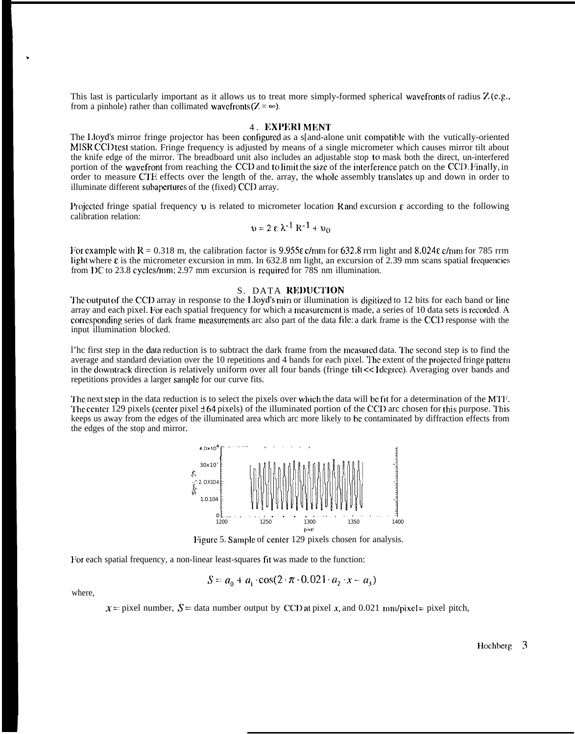This last is particularly important as it allows us to treat more simply-formed spherical wavefronts of radius  $Z(\mathbf{c}, \mathbf{g}, \cdot)$ from a pinhole) rather than collimated wavefronts  $(Z = \infty)$ .

### 4. EXPERIMENT

The Lloyd's mirror fringe projector has been configured as a s[and-alone unit compatible with the vutically-oriented MISR CCI test station. Fringe frequency is adjusted by means of a single micrometer which causes mirror tilt about the knife edge of the mirror. The breadboard unit also includes an adjustable stop to mask both the direct, un-interfered portion of the wavefront from reaching the CCD and to limit the size of the interference patch on the CCD. Finally, in order to measure CTE effects over the length of the. array, the whole assembly translates up and down in order to illuminate different subapertures of the (fixed) CCD array.

Projected fringe spatial frequency v is related to micrometer location R and excursion  $\epsilon$  according to the following calibration relation:

$$
v = 2 \epsilon \lambda^{-1} R^{-1} + v_0
$$

For example with  $R = 0.318$  m, the calibration factor is 9.955 $\varepsilon$  c/mm for 632.8 rrm light and 8.024 $\varepsilon$  c/mm for 785 rrm light where  $\varepsilon$  is the micrometer excursion in mm. In 632.8 nm light, an excursion of 2.39 mm scans spatial frequencies from I)C to 23.8 cycles/mm; 2.97 mm excursion is required for  $\frac{78}{5}$  nm illumination.

### S. DATA REDUCTION

The output of the CCD array in response to the Lloyd's miri or illumination is digitized to 12 bits for each band or line array and each pixel. For each spatial frequency for which a mcasurcmcnt is made, a series of 10 data sets is rccordcd. A corresponding series of dark frame measurements arc also part of the data file: a dark frame is the CCI) response with the input illumination blocked.

l'hc first step in the data reduction is to subtract the dark frame from the mcasrucd data. I'hc second step is to find the average and standard deviation over the 10 repetitions and 4 bands for each pixel. The extent of the projected fringe pattern in the downtrack direction is relatively uniform over all four bands (fringe tilt << 1 degree). Averaging over bands and repetitions provides a larger sample for our curve fits.

The next step in the data reduction is to select the pixels over which the data will be fit for a determination of the MTF. The center 129 pixels (center pixel  $\pm 64$  pixels) of the illuminated portion of the CCD arc chosen for this purpose. This keeps us away from the edges of the illuminated area which arc more likely to bc contaminated by diffraction effects from the edges of the stop and mirror.



Figure 5. Sample of center 129 pixels chosen for analysis.

For each spatial frequency, a non-linear least-squares fit was made to the function:

$$
S = a_0 + a_1 \cdot \cos(2 \cdot \pi \cdot 0.021 \cdot a_2 \cdot x - a_3)
$$

where,

,

 $x =$  pixel number,  $S =$  data number output by CCD at pixel x, and 0.021 mm/pixel = pixel pitch,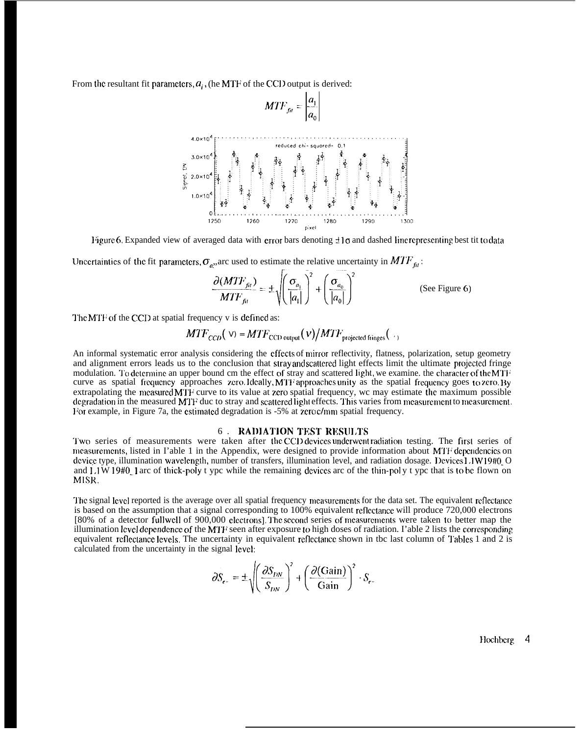From the resultant fit parameters,  $a_i$ , (he MTF of the CCI) output is derived:

$$
MTF_{fi} = \frac{a_1}{a_0}
$$



Figure 6. Expanded view of averaged data with error bars denoting  $\pm 1\sigma$  and dashed line representing best tit to data

Uncertainties of the fit parameters,  $\sigma_{a}$ , arc used to estimate the relative uncertainty in  $MTF_{fi}$ :

$$
\frac{\partial (MTF_{fi})}{MTF_{fi}} = \pm \sqrt{\left(\frac{\sigma_{a_1}}{|a_1|}\right)^2 + \left(\frac{\sigma_{a_0}}{|a_0|}\right)^2}
$$
 (See Figure 6)

The MTF of the CCD at spatial frequency v is defined as:

$$
MTF_{CCD}(V) = MTF_{CCD\,\text{output}}(V)/MTF_{\text{projected finges}}(V)
$$

An informal systematic error analysis considering the effects of mirror reflectivity, flatness, polarization, setup geometry and alignment errors leads us to the conclusion that stray and scattered light effects limit the ultimate projected fringe modulation. To determine an upper bound cm the effect of stray and scattered light, we examine. the character of the MTF curve as spatial frequency approaches zero. Ideally, MTF approaches unity as the spatial frequency goes to zero. By extrapolating the measured MTF curve to its value at zero spatial frequency, wc may estimate the maximum possible degradation in the measured MTF duc to stray and scattered light effects. This varies from measurement to measurement. For example, in Figure 7a, the estimated degradation is -5% at zero c/mm spatial frequency.

### **6. RADIATION TEST RESULTS**

Two series of measurements were taken after the CCD devices underwent radiation testing. The first series of measurements, listed in I'able 1 in the Appendix, were designed to provide information about MTF dependencies on device type, illumination wavelength, number of transfers, illumination level, and radiation dosage. Devices 1.1W19#0\_O and  $1.1\,\text{W}$  19#0. 1 arc of thick-poly t ypc while the remaining devices arc of the thin-poly t ypc that is to be flown on MISR.

The signal level reported is the average over all spatial frequency measurements for the data set. The equivalent reflectance is based on the assumption that a signal corresponding to 100% equivalent reflectance will produce 720,000 electrons [80% of a detector fullwell of 900,000 electrons]. The second series of measurements were taken to better map the illumination level dependence of the MTF seen after exposure to high doses of radiation. I'able 2 lists the corresponding equivalent reflectance levels. The uncertainty in equivalent reflectance shown in tbc last column of Tables 1 and 2 is calculated from the uncertainty in the signal level:

$$
\partial S_{\epsilon} = \pm \sqrt{\left(\frac{\partial S_{DN}}{S_{DN}}\right)^2 + \left(\frac{\partial (\text{Gain})}{\text{Gain}}\right)^2} \cdot S_{\epsilon}.
$$

Hochberg  $\overline{4}$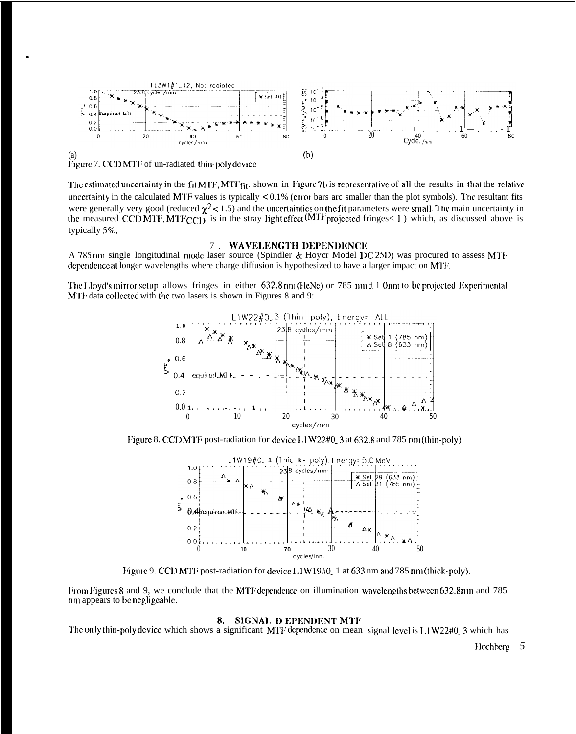

The estimated uncertainty in the fit MTF, MTFfit, shown in Figure 7b is representative of all the results in that the relative uncertainty in the calculated MTF values is typically  $< 0.1\%$  (error bars arc smaller than the plot symbols). The resultant fits were generally very good (reduced  $\chi^2$  < 1.5) and the uncertainties on the fit parameters were small. The main uncertainty in the measured CCDMTF, MTF<sub>CCD</sub>, is in the stray light effect (MTF projected fringes < 1) which, as discussed above is typically 5%.

#### 7. WAVELENGTH DEPENDENCE

A 785 nm single longitudinal mode laser source (Spindler & Hoycr Model DC25D) was procured to assess MTF dependence at longer wavelengths where charge diffusion is hypothesized to have a larger impact on MTF.

The Lloyd's mirror setup allows fringes in either 632.8 nm (HeNe) or 785 nm ± 1 0nm to be projected. Experimental MTF data collected with the two lasers is shown in Figures 8 and 9:



Figure 8. CCD MTF post-radiation for device L1W22#0 3 at 632.8 and 785 nm (thin-poly)



Figure 9. CCD MTF post-radiation for device L1W19#0\_1 at 633 nm and 785 nm (thick-poly).

From Figures 8 and 9, we conclude that the MTF dependence on illumination wavelengths between 632.8nm and 785 nm appears to be negligeable.

#### 8. SIGNAL D EPENDENT MTF

The only thin-poly device which shows a significant MTF dependence on mean signal level is 1.1W22#0\_3 which has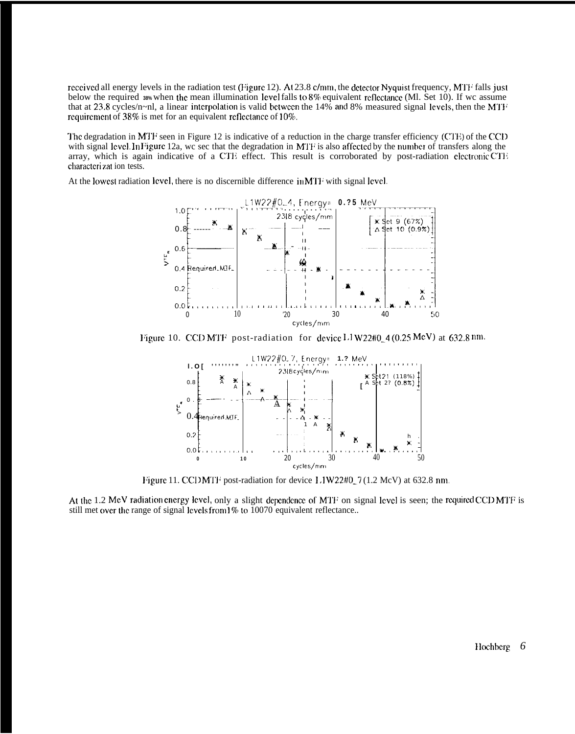received all energy levels in the radiation test (Figure 12). At 23.8 c/mm, the detector Nyquist frequency, MTF falls just below the required 38% when the mean illumination level falls to 8% equivalent reflectance (Ml. Set 10). If we assume that at 23.8 cycles/n~nl, a linear interpolation is valid between the 14% and 8% measured signal levels, then the MTF requirement of 38% is met for an equivalent reflectance of 10%.

The degradation in MTF seen in Figure 12 is indicative of a reduction in the charge transfer efficiency (CTE) of the CCD with signal level. In Figure 12a, we see that the degradation in MTF is also affected by the number of transfers along the array, which is again indicative of a CTE effect. This result is corroborated by post-radiation electronic CTE characterizat ion tests.

At the lowest radiation level, there is no discernible difference in MTF with signal level.



Figure 10. CCD MTF post-radiation for device  $L1$  W22#0\_4 (0.25 MeV) at 632.8 nm.



Figure 11. CCDMTF post-radiation for device L1W22#0\_7 (1.2 McV) at 632.8 nm.

At the 1.2 MeV radiation energy level, only a slight dependence of MTF on signal level is seen; the required CCD MTF is still met over the range of signal levels from 1% to 10070 equivalent reflectance...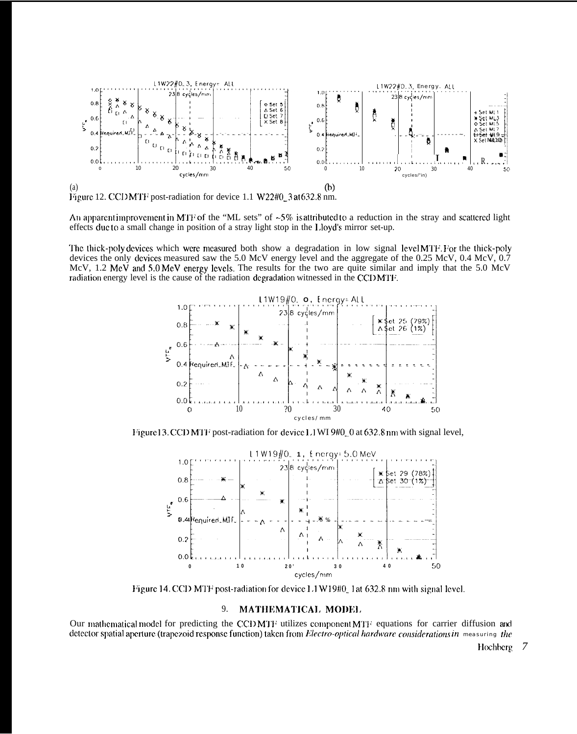

An apparent improvement in MTF of the "ML sets" of  $~5\%$  is attributed to a reduction in the stray and scattered light effects ducto a small change in position of a stray light stop in the Lloyd's mirror set-up.

The thick-poly devices which were measured both show a degradation in low signal level MTF. For the thick-poly devices the only devices measured saw the 5.0 McV energy level and the aggregate of the 0.25 McV, 0.4 McV,  $0.7$ McV, 1.2 MeV and 5.0 MeV energy levels. The results for the two are quite similar and imply that the 5.0 McV radiation energy level is the cause of the radiation degradation witnessed in the CCDMTF.



Figure 13. CCD MTF post-radiation for device 1.1 WI 9#0\_0 at 632.8 nm with signal level,



Figure 14. CCD MTF post-radiation for device 1.1 W19#0\_1 at 632.8 nm with signal level.

#### 9. MATHEMATICAL MODEL

Our mathematical model for predicting the CCD MTF utilizes component MTF equations for carrier diffusion and detector spatial aperture (trapezoid response function) taken from Electro-optical hardware considerations in measuring the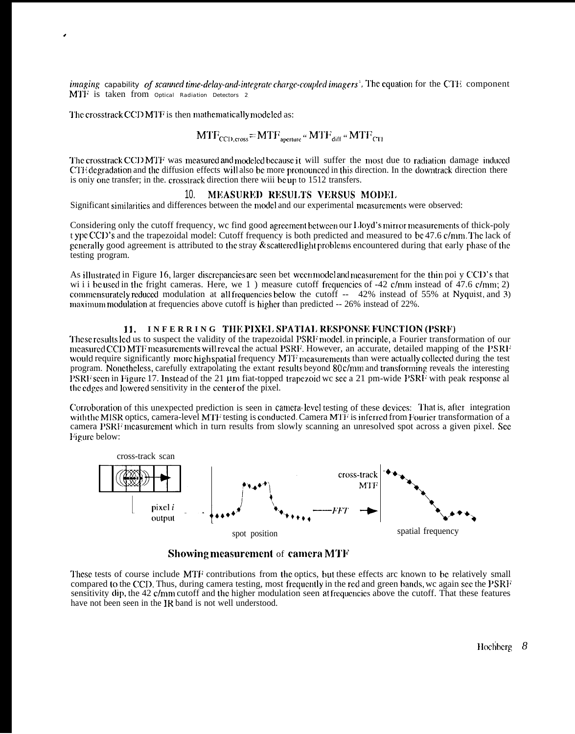imaging capability of scanned time-delay-and-integrate charge-coupled imagers'. The equation for the CTE component MTF is taken from *Optical Radiation Detectors* 2

The crosstrack CCD MTF is then mathematically modeled as:

$$
MTF_{CCD, cross} = MTF_{aperture} \cdot MTF_{diff} \cdot MTF_{CTE}
$$

The crosstrack CCD MTF was measured and modeled because it will suffer the most due to radiation damage induced CTE degradation and the diffusion effects will also be more pronounced in this direction. In the downtrack direction there is only one transfer; in the. crosstrack direction there will be up to 1512 transfers.

#### MEASURED RESULTS VERSUS MODEL 10.

Significant similarities and differences between the model and our experimental measurements were observed:

Considering only the cutoff frequency, we find good agreement between our Lloyd's mirror measurements of thick-poly t ypc CCD's and the trapezoidal model: Cutoff frequency is both predicted and measured to be 47.6 c/mm. The lack of generally good agreement is attributed to the stray  $\&$  scattered light problems encountered during that early phase of the testing program.

As illustrated in Figure 16, larger discrepancies are seen bet ween model and measurement for the thin poi y CCD's that wi i i bc used in the fright cameras. Here, we 1) measure cutoff frequencies of  $-42$  c/mm instead of  $47.6$  c/mm; 2) commensurately reduced modulation at all frequencies below the cutoff -- 42% instead of 55% at Nyquist, and 3) maximum modulation at frequencies above cutoff is higher than predicted -- 26% instead of 22%.

### 11. INFERRING THE PIXEL SPATIAL RESPONSE FUNCTION (PSRF)

These results led us to suspect the validity of the trapezoidal PSRF model. in principle, a Fourier transformation of our measured CCD MTF measurements will reveal the actual PSRF. However, an accurate, detailed mapping of the PSRF would require significantly more high spatial frequency MTF measurements than were actually collected during the test program. Nonetheless, carefully extrapolating the extant results beyond 80c/mm and transforming reveals the interesting PSRF seen in Figure 17. Instead of the 21 µm fiat-topped trapezoid we see a 21 pm-wide PSRF with peak response al the edges and lowered sensitivity in the center of the pixel.

Corroboration of this unexpected prediction is seen in camera level testing of these devices: That is, after integration with the MISR optics, camera-level MTF testing is conducted. Camera MTF is inferred from Fourier transformation of a camera PSRF measurement which in turn results from slowly scanning an unresolved spot across a given pixel. See Figure below:



**Showing measurement of camera MTF** 

These tests of course include MTF contributions from the optics, but these effects arc known to be relatively small compared to the CCD. Thus, during camera testing, most frequently in the red and green bands, we again see the PSRF sensitivity dip, the 42 c/mm cutoff and the higher modulation seen at frequencies above the cutoff. That these features have not been seen in the IR band is not well understood.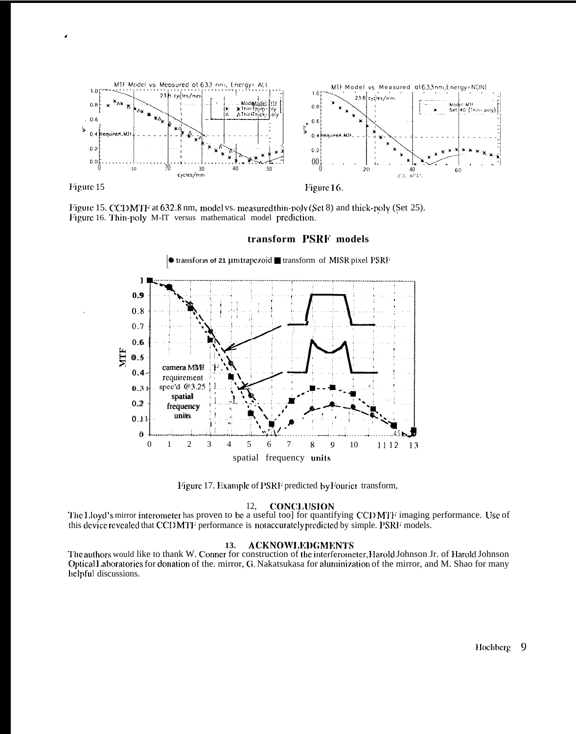

Figure 15

Figure 16.

Figure 15. CCD MTF at 632.8 nm, model vs. measured thin-poly (Set 8) and thick-poly (Set 25). Figure 16. Thin-poly M-IT versus mathematical model prediction.

# transform PSRF models



Figure 17. Example of PSRF predicted by Fourier transform,

#### **CONCLUSION** 12.

The Lloyd's mirror interometer has proven to be a useful too] for quantifying CCD MTF imaging performance. Use of this device revealed that CCDMTF performance is not accurately predicted by simple. PSRF models.

#### **ACKNOWLEDGMENTS** 13.

The authors would like to thank W. Conner for construction of the interferometer, Harold Johnson Jr. of Harold Johnson Optical Laboratories for donation of the. mirror, G. Nakatsukasa for aluminization of the mirror, and M. Shao for many helpful discussions.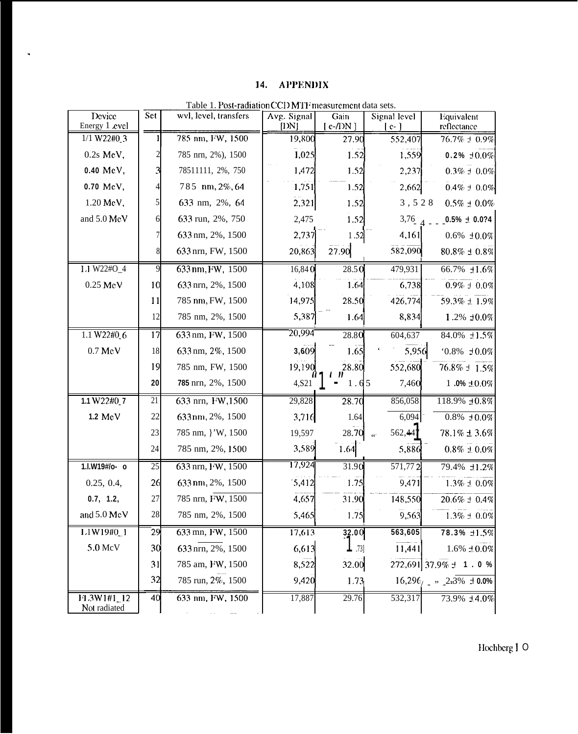# 14. APPENDIX

 $\langle \cdot \rangle$ 

| Device<br>Energy 1 cvcl    | Set             | wvl, level, transfers | Avg. Signal<br>$[1)$ N] | Gain<br>$[ c$ -/DN $ ]$ | Signal level<br>$e-$ | Equivalent<br>reflectance                                          |
|----------------------------|-----------------|-----------------------|-------------------------|-------------------------|----------------------|--------------------------------------------------------------------|
| 1/1 W22#0 3                |                 | 785 nm, FW, 1500      | 19,800                  | 27.90                   | 552,407              | $76.7\% \pm 0.9\%$                                                 |
| $0.2s$ MeV,                |                 | 785 nrn, 2%), 1500    | 1,025                   | 1.52                    | 1,559                | $0.2\% \pm 0.0\%$                                                  |
| 0.40 MeV,                  |                 | 78511111, 2%, 750     | 1,472                   | 1.52                    | 2,237                | $0.3\% \pm 0.0\%$                                                  |
| 0.70 MeV,                  |                 | 785 nm, 2%, 64        | 1,751                   | 1.52                    | 2,662                | $0.4\% \pm 0.0\%$                                                  |
| 1.20 MeV,                  |                 | 633 nm, 2%, 64        | 2,321                   | 1.52                    | 3,528                | $0.5\% \pm 0.0\%$                                                  |
| and 5.0 MeV                | 6               | 633 run, 2%, 750      | 2,475                   | 1.52                    | $3,76$ $_A$          | $0.5\% \pm 0.074$                                                  |
|                            |                 | 633 nm, 2%, 1500      | 2,737                   | 1.52                    | 4,161                | $0.6\% \pm 0.0\%$                                                  |
|                            | 8               | 633 nrn, FW, 1500     | 20,863                  | 27.90                   | 582,090              | $80.8\% \pm 0.8\%$                                                 |
| I.1 W22#O_4                | 9               | 633 nm, FW, 1500      | 16,840                  | 28.50                   | 479,931              | 66.7% ±1.6%                                                        |
| $0.25\;\mathrm{MeV}$       | 10              | 633 nrn, 2%, 1500     | 4,108                   | 1.64                    | 6,738                | $0.9\% \pm 0.0\%$                                                  |
|                            | 11              | 785 nm, FW, 1500      | 14,975                  | 28.50                   | 426,774              | 59.3% ± 1.9%                                                       |
|                            | 12              | 785 nm, 2%, 1500      | 5,387                   | 1.64                    | 8,834                | 1.2% ±0.0%                                                         |
| 1.1 W22#106                | $\overline{17}$ | 633 nm, FW, 1500      | 20,994                  | 28.80                   | 604,637              | 84.0% ±1.5%                                                        |
| $0.7\ \mathrm{MeV}$        | 18              | 633 nm, 2%, 1500      | 3,609                   | 1.65                    | 5,956                | $0.8\% \pm 0.0\%$                                                  |
|                            | 19              | 785 nm, FW, 1500      | 19,190                  | 28.80                   | 552,680              | 76.8% ± 1.5%                                                       |
|                            | 20              | 785 nrn, 2%, 1500     | 4,521                   | 1.65                    | 7,460                | $1.0\% \pm 0.0\%$                                                  |
| 1.1 W22#0_7                | 21              | 633 nrn, FW, 1500     | 29,828                  | 28.70                   | 856,058              | 118.9% ±0.8%                                                       |
| 1.2 MeV                    | 22              | 633 nm, 2%, 1500      | 3,716                   | 1.64                    | 6,094                | $0.8\% \pm 0.0\%$                                                  |
|                            | 23              | 785 nm, }'W, 1500     | 19,597                  | 28.70                   | 562,44<br>$\epsilon$ | 78.1% ± 3.6%                                                       |
|                            | 24              | 785 nm, 2%, 1500      | 3,589                   | 1.64                    | 5,886                | $0.8\% \pm 0.0\%$                                                  |
| 1.I.W19#/o- 0              | 25              | 633 nrn, FW, 1500     | 17,924                  | 31.90                   | 571,772              | 79.4% ±1.2%                                                        |
| 0.25, 0.4,                 | 26              | 633nm, 2%, 1500       | 5,412                   | 1.75                    | 9,471                | $1.3\%\pm0.0\%$                                                    |
| 0.7, 1.2,                  | 27              | 785 nrn, FW, 1500     | 4,657                   | 31.90                   | 148,550              | $20.6\% \pm 0.4\%$                                                 |
| and 5.0 MeV                | 28              | 785 nm, 2%, 1500      | 5,465                   | 1.75                    | 9,563                | $1.3\% \pm 0.0\%$                                                  |
| L1W19#0_1                  | 29              | 633 mn, FW, 1500      | 17,613                  |                         | 563,605              | 78.3% +1.5%                                                        |
| 5.0 McV                    | 30              | 633 nrn, 2%, 1500     | 6,613                   | $\frac{32.00}{1}$       | 11,441               | $1.6\% \pm 0.0\%$                                                  |
|                            | 31              | 785 am, FW, 1500      | 8,522                   | 32.00                   |                      | 272,691 37.9% ± 1 . 0 %                                            |
|                            | 32              | 785 run, 2%, 1500     | 9,420                   | 1.73                    |                      | $16,296$ , $\frac{1}{2}$ $\frac{1}{2}$ $\frac{2}{3}\%$ $\pm 0.0\%$ |
| FL3W1#1_12<br>Not radiated | 40              | 633 nm, FW, 1500      | 17,887                  | 29.76                   | 532,317              | 73.9% ±4.0%                                                        |

Table 1. Post-radiation CCD MTF measurement data sets.

Hochberg 1 O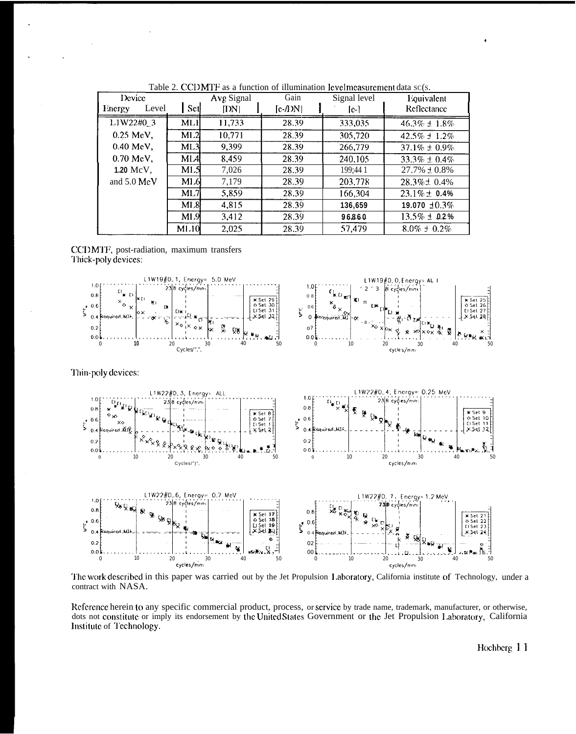| Device<br>Level<br>Energy | Set             | Avg Signal<br>[DN] | Gain<br>$[c-1)N$ | Signal level<br>$[e-]$ | Equivalent<br>Reflectance |
|---------------------------|-----------------|--------------------|------------------|------------------------|---------------------------|
| L1W22#0_3                 | ML1             | 11,733             | 28.39            | 333,035                | $46.3\% \pm 1.8\%$        |
| $0.25$ MeV,               | ML2             | 10.771             | 28.39            | 305,720                | $42.5\% \pm 1.2\%$        |
| $0.40$ MeV,               | ML3             | 9.399              | 28.39            | 266,779                | $37.1\% \pm 0.9\%$        |
| $0.70$ MeV,               | MIA             | 8,459              | 28.39            | 240.105                | $33.3\% \pm 0.4\%$        |
| $1.20 \text{ MeV}$ ,      | M <sub>L5</sub> | 7,026              | 28.39            | 199;44 1               | $27.7\% \pm 0.8\%$        |
| and $5.0 \text{ MeV}$     | M1.6            | 7.179              | 28.39            | 203,778                | $28.3\% \pm 0.4\%$        |
|                           | ML7             | 5.859              | 28.39            | 166,304                | $23.1\% \pm 0.4\%$        |
|                           | ML8             | 4.815              | 28.39            | 136,659                | 19.070 $\pm 0.3\%$        |
|                           | M1.9            | 3,412              | 28.39            | 96860                  | $13.5\% \pm 0.2\%$        |
|                           | M1.10           | 2,025              | 28.39            | 57.479                 | $8.0\% \pm 0.2\%$         |

Table 2. CCDMTF as a function of illumination levelmeasurement data sc(s.

CCDMTF, post-radiation, maximum transfers Thick-poly devices:



The work described in this paper was carried out by the Jet Propulsion Laboratory, California institute of Technology, under a contract with NASA.

Reference herein to any specific commercial product, process, or service by trade name, trademark, manufacturer, or otherwise, dots not constitute or imply its endorsement by the United States Government or the Jet Propulsion Laboratory, California Institute of Technology.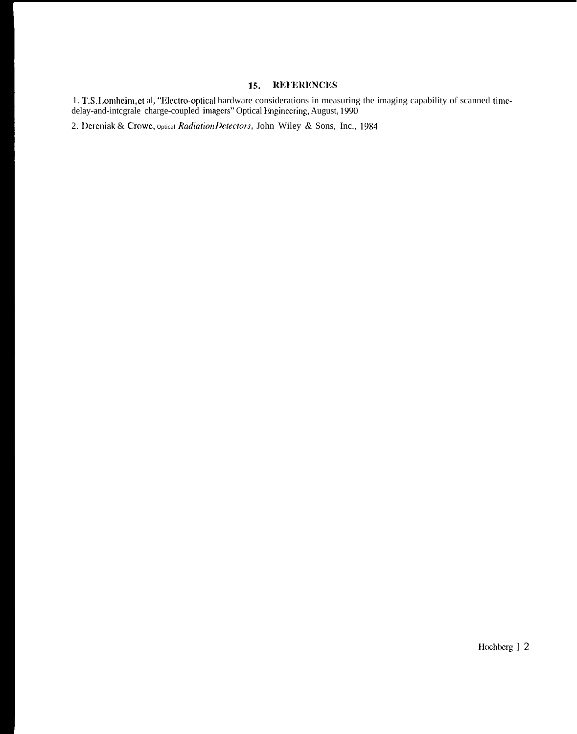#### **REFERENCES** 15.

1. T.S. Lomheim, et al, "Electro-optical hardware considerations in measuring the imaging capability of scanned time-<br>delay-and-integrale charge-coupled imagers" Optical Engineering, August, 1990

2. Dereniak & Crowe, optical Radiation Detectors, John Wiley & Sons, Inc., 1984